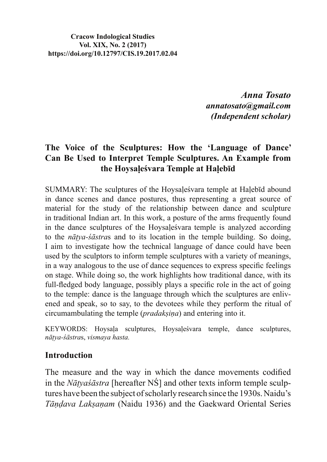**Cracow Indological Studies Vol. XIX, No. 2 (2017) https://doi.org/10.12797/CIS.19.2017.02.04**

> *Anna Tosato annatosato@gmail.com (Independent scholar)*

## The Voice of the Sculptures: How the 'Language of Dance' **Can Be Used to Interpret Temple Sculptures. An Example from**  the Hoysalesvara Temple at Halebid

SUMMARY: The sculptures of the Hovsales vara temple at Halebid abound in dance scenes and dance postures, thus representing a great source of material for the study of the relationship between dance and sculpture in traditional Indian art. In this work, a posture of the arms frequently found in the dance sculptures of the Hoysales vara temple is analyzed according to the *nātva-sāstras* and to its location in the temple building. So doing, I aim to investigate how the technical language of dance could have been used by the sculptors to inform temple sculptures with a variety of meanings, in a way analogous to the use of dance sequences to express specific feelings on stage. While doing so, the work highlights how traditional dance, with its full-fledged body language, possibly plays a specific role in the act of going to the temple: dance is the language through which the sculptures are enlivened and speak, so to say, to the devotees while they perform the ritual of circumambulating the temple (*pradaksina*) and entering into it.

KEYWORDS: Hoysala sculptures, Hoysalesvara temple, dance sculptures,  $n\bar{a}$ tya-ś $\bar{a}$ stras, vismaya hasta.

### **Introduction**

The measure and the way in which the dance movements codified in the *Nātyasāstra* [hereafter NS] and other texts inform temple sculptures have been the subject of scholarly research since the 1930s. Naidu's *Tāndava Laksanam* (Naidu 1936) and the Gaekward Oriental Series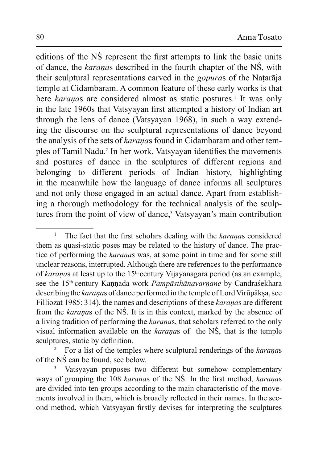editions of the NS represent the first attempts to link the basic units of dance, the *karanas* described in the fourth chapter of the NS, with their sculptural representations carved in the *gopuras* of the Nataraja temple at Cidambaram. A common feature of these early works is that here *karanas* are considered almost as static postures.<sup>1</sup> It was only in the late 1960s that Vatsyayan first attempted a history of Indian art through the lens of dance (Vatsyayan 1968), in such a way extending the discourse on the sculptural representations of dance beyond the analysis of the sets of *karanas* found in Cidambaram and other temples of Tamil Nadu.<sup>2</sup> In her work, Vatsyayan identifies the movements and postures of dance in the sculptures of different regions and belonging to different periods of Indian history, highlighting in the meanwhile how the language of dance informs all sculptures and not only those engaged in an actual dance. Apart from establishing a thorough methodology for the technical analysis of the sculptures from the point of view of dance,<sup>3</sup> Vatsyayan's main contribution

<sup>1</sup> The fact that the first scholars dealing with the *karanas* considered them as quasi-static poses may be related to the history of dance. The practice of performing the *karanas* was, at some point in time and for some still unclear reasons, interrupted. Although there are references to the performance of *karanas* at least up to the 15<sup>th</sup> century Vijayanagara period (as an example, see the 15<sup>th</sup> century Kannada work *Pampāsthānavarnane* by Candraśekhara describing the *karanas* of dance performed in the temple of Lord Virūpāksa, see Filliozat 1985: 314), the names and descriptions of these *karanas* are different from the *karanas* of the NS. It is in this context, marked by the absence of a living tradition of performing the *karanas*, that scholars referred to the only visual information available on the *karanas* of the NS, that is the temple sculptures, static by definition.

<sup>2</sup> For a list of the temples where sculptural renderings of the *karanas* of the  $N\acute{S}$  can be found, see below.

<sup>3</sup> Vatsyayan proposes two different but somehow complementary ways of grouping the 108 *karanas* of the NS. In the first method, *karanas* are divided into ten groups according to the main characteristic of the movements involved in them, which is broadly reflected in their names. In the second method, which Vatsyayan firstly devises for interpreting the sculptures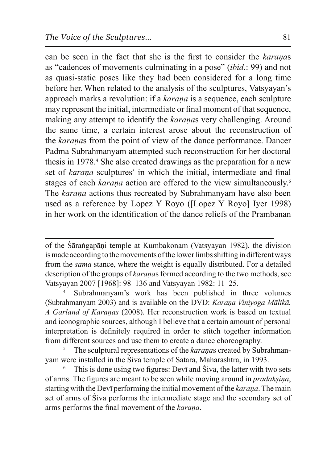Fourn be seen in the fact that she is the first to consider the *karanas* as "cadences of movements culminating in a pose" (*ibid*.: 99) and not as quasi-static poses like they had been considered for a long time before her. When related to the analysis of the sculptures, Vatsyayan's approach marks a revolution: if a *karana* is a sequence, each sculpture may represent the initial, intermediate or final moment of that sequence, making any attempt to identify the *karanas* very challenging. Around the same time, a certain interest arose about the reconstruction of the *karanas* from the point of view of the dance performance. Dancer Padma Subrahmanyam attempted such reconstruction for her doctoral thesis in 1978.<sup>4</sup> She also created drawings as the preparation for a new set of *karana* sculptures<sup>5</sup> in which the initial, intermediate and final stages of each *karana* action are offered to the view simultaneously.<sup>6</sup> The *karana* actions thus recreated by Subrahmanyam have also been used as a reference by Lopez Y Royo ([Lopez Y Royo] Iyer 1998) in her work on the identification of the dance reliefs of the Prambanan

of the Śārangapāņi temple at Kumbakonam (Vatsyayan 1982), the division is made according to the movements of the lower limbs shifting in different ways from the *sama* stance, where the weight is equally distributed. For a detailed description of the groups of *karanas* formed according to the two methods, see Vatsyayan 2007 [1968]: 98–136 and Vatsyayan 1982: 11–25.

<sup>4</sup> Subrahmanyam's work has been published in three volumes (Subrahmanyam 2003) and is available on the DVD: *Karana Vinivoga Mālikā*. A Garland of Karaņas (2008). Her reconstruction work is based on textual and iconographic sources, although I believe that a certain amount of personal interpretation is definitely required in order to stitch together information from different sources and use them to create a dance choreography.

<sup>5</sup> The sculptural representations of the *karanas* created by Subrahmanvam were installed in the Siva temple of Satara, Maharashtra, in 1993.

<sup>6</sup> This is done using two figures: Devi and Siva, the latter with two sets of arms. The figures are meant to be seen while moving around in *pradaksina*, starting with the Devi performing the initial movement of the *karana*. The main set of arms of Siva performs the intermediate stage and the secondary set of arms performs the final movement of the *karana*.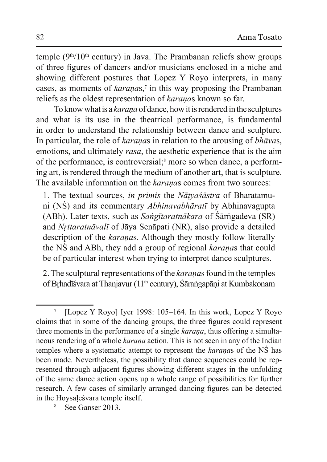temple ( $9<sup>th</sup>/10<sup>th</sup>$  century) in Java. The Prambanan reliefs show groups of three figures of dancers and/or musicians enclosed in a niche and showing different postures that Lopez Y Royo interprets, in many cases, as moments of *karanas*,<sup>7</sup> in this way proposing the Prambanan reliefs as the oldest representation of *karanas* known so far.

To know what is a *karana* of dance, how it is rendered in the sculptures and what is its use in the theatrical performance, is fundamental in order to understand the relationship between dance and sculpture. In particular, the role of *karanas* in relation to the arousing of *bhavas*, emotions, and ultimately *rasa*, the aesthetic experience that is the aim of the performance, is controversial;<sup>8</sup> more so when dance, a performing art, is rendered through the medium of another art, that is sculpture. The available information on the *karanas* comes from two sources:

1. The textual sources, *in primis* the *Nātyasāstra* of Bharatamuni (NS) and its commentary *Abhinavabhāratī* by Abhinavagupta (ABh). Later texts, such as *Sangītaratnākara* of Śārngadeva (SR) and *Nrttaratnāvalī* of Jāya Senāpati (NR), also provide a detailed description of the *karanas*. Although they mostly follow literally the NS and ABh, they add a group of regional *karanas* that could be of particular interest when trying to interpret dance sculptures.

2. The sculptural representations of the *karanas* found in the temples of Brhadīśvara at Thanjavur (11<sup>th</sup> century), Śārangapāņi at Kumbakonam

<sup>7</sup> [Lopez Y Royo] Iyer 1998:  $105-164$ . In this work, Lopez Y Royo claims that in some of the dancing groups, the three figures could represent three moments in the performance of a single *karana*, thus offering a simultaneous rendering of a whole *karana* action. This is not seen in any of the Indian temples where a systematic attempt to represent the *karanas* of the NS has been made. Nevertheless, the possibility that dance sequences could be represented through adjacent figures showing different stages in the unfolding of the same dance action opens up a whole range of possibilities for further research. A few cases of similarly arranged dancing figures can be detected in the Hoysales vara temple itself.

<sup>8</sup> See Ganser 2013.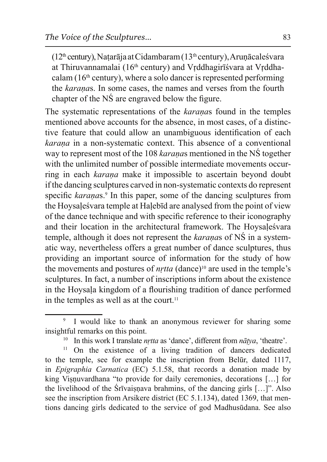$(12<sup>th</sup>$  century), Națarāja at Cidambaram  $(13<sup>th</sup>$  century), Arunācaleśvara at Thiruvannamalai (16<sup>th</sup> century) and Vrddhagirī svara at Vrddhacalam  $(16<sup>th</sup>$  century), where a solo dancer is represented performing the *karanas*. In some cases, the names and verses from the fourth chapter of the NS are engraved below the figure.

The systematic representations of the *karanas* found in the temples mentioned above accounts for the absence, in most cases, of a distinctive feature that could allow an unambiguous identification of each *karana* in a non-systematic context. This absence of a conventional way to represent most of the 108 *karanas* mentioned in the NS together with the unlimited number of possible intermediate movements occurring in each *karana* make it impossible to ascertain beyond doubt if the dancing sculptures carved in non-systematic contexts do represent specific karanas.<sup>9</sup> In this paper, some of the dancing sculptures from the Hoysale's vara temple at Halebid are analysed from the point of view of the dance technique and with specific reference to their iconography and their location in the architectural framework. The Hoysalesvara temple, although it does not represent the *karanas* of NS in a systematic way, nevertheless offers a great number of dance sculptures, thus providing an important source of information for the study of how the movements and postures of *nrtta* (dance)<sup>10</sup> are used in the temple's sculptures. In fact, a number of inscriptions inform about the existence in the Hoysala kingdom of a flourishing tradition of dance performed in the temples as well as at the court.<sup>11</sup>

<sup>11</sup> On the existence of a living tradition of dancers dedicated to the temple, see for example the inscription from Belūr, dated 1117, in *Epigraphia Carnatica* (EC) 5.1.58, that records a donation made by king Visnuvardhana "to provide for daily ceremonies, decorations [...] for the livelihood of the Srivaisnava brahmins, of the dancing girls  $[\dots]$ ". Also see the inscription from Arsikere district (EC 5.1.134), dated 1369, that mentions dancing girls dedicated to the service of god Madhusūdana. See also

<sup>9</sup> I would like to thank an anonymous reviewer for sharing some insightful remarks on this point.

<sup>&</sup>lt;sup>10</sup> In this work I translate *nrtta* as 'dance', different from  $n\bar{a}tva$ , 'theatre'.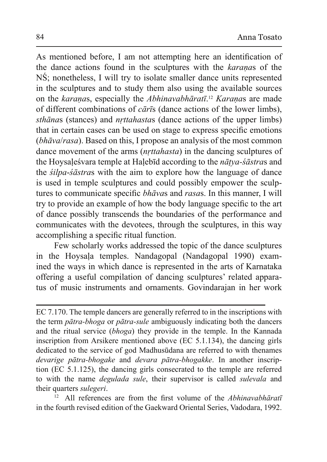As mentioned before, I am not attempting here an identification of the dance actions found in the sculptures with the karanas of the NS; nonetheless, I will try to isolate smaller dance units represented in the sculptures and to study them also using the available sources on the karanas, especially the Abhinavabhāratī.<sup>12</sup> Karanas are made of different combinations of  $c\bar{a}r\bar{t}s$  (dance actions of the lower limbs), *sthānas* (stances) and *nrttahastas* (dance actions of the upper limbs) that in certain cases can be used on stage to express specific emotions *(bhāva/rasa)*. Based on this, I propose an analysis of the most common dance movement of the arms *(nrttahasta)* in the dancing sculptures of the Hoysalesvara temple at Halebid according to the *nātya-sāstras* and the *silpa-sastras* with the aim to explore how the language of dance is used in temple sculptures and could possibly empower the sculptures to communicate specific *bhavas* and *rasas*. In this manner, I will try to provide an example of how the body language specific to the art of dance possibly transcends the boundaries of the performance and communicates with the devotees, through the sculptures, in this way accomplishing a specific ritual function.

Few scholarly works addressed the topic of the dance sculptures in the Hoysala temples. Nandagopal (Nandagopal 1990) examined the ways in which dance is represented in the arts of Karnataka offering a useful compilation of dancing sculptures' related apparatus of music instruments and ornaments. Govindarajan in her work

 $12$ All references are from the first volume of the Abhinavabharati in the fourth revised edition of the Gaekward Oriental Series, Vadodara, 1992.

EC 7.170. The temple dancers are generally referred to in the inscriptions with the term *pātra-bhoga* or *pātra-sule* ambiguously indicating both the dancers and the ritual service (bhoga) they provide in the temple. In the Kannada inscription from Arsikere mentioned above (EC 5.1.134), the dancing girls dedicated to the service of god Madhusūdana are referred to with thenames devarige pātra-bhogake and devara pātra-bhogakke. In another inscription (EC 5.1.125), the dancing girls consecrated to the temple are referred to with the name *degulada sule*, their supervisor is called *sulevala* and their quarters *sulegeri*.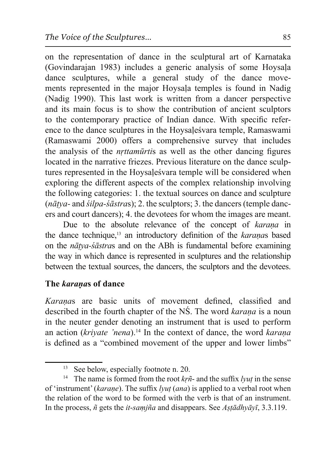on the representation of dance in the sculptural art of Karnataka  $(Govindarajan$  1983) includes a generic analysis of some Hoysala dance sculptures, while a general study of the dance movements represented in the major Hoysala temples is found in Nadig (Nadig 1990). This last work is written from a dancer perspective and its main focus is to show the contribution of ancient sculptors to the contemporary practice of Indian dance. With specific reference to the dance sculptures in the Hoysalesvara temple, Ramaswami (Ramaswami 2000) offers a comprehensive survey that includes the analysis of the *nrttamūrtis* as well as the other dancing figures located in the narrative friezes. Previous literature on the dance sculptures represented in the Hoysales vara temple will be considered when exploring the different aspects of the complex relationship involving the following categories: 1. the textual sources on dance and sculpture  $(n\bar{a}t\gamma a$ - and  $\dot{s}ilpa$ - $\dot{s}a$ *stras*); 2. the sculptors; 3. the dancers (temple dancers and court dancers); 4. the devotees for whom the images are meant.

Due to the absolute relevance of the concept of *karana* in the dance technique,<sup>13</sup> an introductory definition of the karanas based on the *nātya-sāstras* and on the ABh is fundamental before examining the way in which dance is represented in sculptures and the relationship between the textual sources, the dancers, the sculptors and the devotees.

# **The** *karanas* of dance

*Karanas* are basic units of movement defined, classified and described in the fourth chapter of the NS. The word *karana* is a noun in the neuter gender denoting an instrument that is used to perform an action (*krivate 'nena*).<sup>14</sup> In the context of dance, the word *karana* is defined as a "combined movement of the upper and lower limbs"

<sup>&</sup>lt;sup>13</sup> See below, especially footnote n. 20.

<sup>&</sup>lt;sup>14</sup> The name is formed from the root  $k\tilde{r}$ <sup> $\tilde{n}$ </sup>- and the suffix *lyut* in the sense of 'instrument' (karane). The suffix *lyut* (ana) is applied to a verbal root when the relation of the word to be formed with the verb is that of an instrument. In the process,  $\tilde{n}$  gets the *it-samjna* and disappears. See *Astadhyavi*, 3.3.119.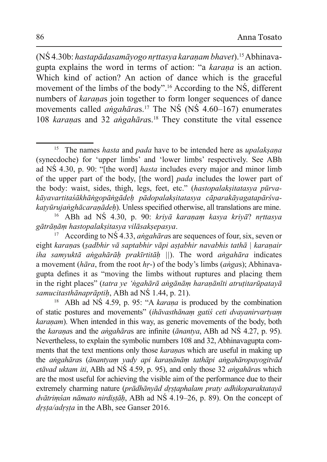(NŚ 4.30b: hastapādasamāyogo nrttasya karaņam bhavet).<sup>15</sup> Abhinavagupta explains the word in terms of action: "a karana is an action. Which kind of action? An action of dance which is the graceful movement of the limbs of the body".<sup>16</sup> According to the NS, different numbers of *karanas* join together to form longer sequences of dance movements called *angahāras*.<sup>17</sup> The NS (NS 4.60–167) enumerates 108 karanas and 32 angahāras.<sup>18</sup> They constitute the vital essence

<sup>15</sup> The names *hasta* and *pada* have to be intended here as *upalaksana* (synecdoche) for 'upper limbs' and 'lower limbs' respectively. See ABh ad NS 4.30, p. 90: "[the word] *hasta* includes every major and minor limb of the upper part of the body, [the word] *pada* includes the lower part of the body: waist, sides, thigh, legs, feet, etc." (hastopalaksitatasya pūrvakāyavartitaśākhāngopāngādeh pādopalaksitatasya cāparakāyagatapārśvakatyūrujanghācaranādeh). Unless specified otherwise, all translations are mine.

<sup>&</sup>lt;sup>16</sup> ABh ad NS 4.30, p. 90: kriyā karanam kasya kriyā? nrttasya gātrānām hastopalaksitasva vilāsaksepasva.

<sup>&</sup>lt;sup>17</sup> According to NS 4.33, *angahāras* are sequences of four, six, seven or eight karanas (sadbhir vā saptabhir vāpi astabhir navabhis tathā | karanair *iha samvuktā angahārāh prakīrtitāh*  $||$ ). The word *angahāra* indicates a movement ( $h\bar{a}ra$ , from the root  $h r$ -) of the body's limbs ( $angas$ ); Abhinavagupta defines it as "moving the limbs without ruptures and placing them in the right places" (tatra ye 'ngahārā angānām haranānīti atrutitarūpatayā samucitasthānaprāptih, ABh ad NŚ 1.44, p. 21).

<sup>&</sup>lt;sup>18</sup> ABh ad NS 4.59, p. 95: "A karana is produced by the combination of static postures and movements" (ihāvasthānam gatis ceti dvavanirvartvam *karanam*). When intended in this way, as generic movements of the body, both the karanas and the angaharas are infinite (anantya, ABh ad NS 4.27, p. 95). Nevertheless, to explain the symbolic numbers 108 and 32, Abhinavagupta comments that the text mentions only those karanas which are useful in making up the angahāras (ānantyam yady api karaņānām tathāpi angahāropayogitvād *etāvad uktam iti*, ABh ad NŚ 4.59, p. 95), and only those 32 *angahāras* which are the most useful for achieving the visible aim of the performance due to their extremely charming nature (prādhānyād drstaphalam praty adhikoparaktatayā dvātrimsan nāmato nirdistāh, ABh ad NS 4.19-26, p. 89). On the concept of drsta/adrsta in the ABh, see Ganser 2016.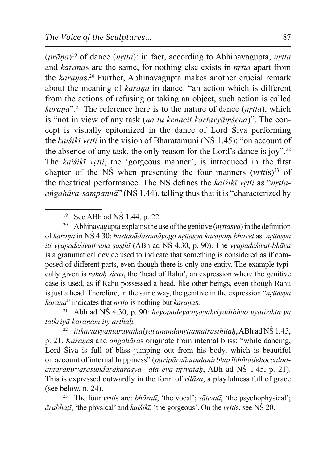$(prāna)^{19}$  of dance (*nrtta*): in fact, according to Abhinavagupta, *nrtta* and karanas are the same, for nothing else exists in *nrtta* apart from the karanas.<sup>20</sup> Further, Abhinavagupta makes another crucial remark about the meaning of *karana* in dance: "an action which is different from the actions of refusing or taking an object, such action is called karana".<sup>21</sup> The reference here is to the nature of dance (*nrtta*), which is "not in view of any task (na tu kenacit kartavyāmśena)". The concept is visually epitomized in the dance of Lord Siva performing the *kaisikī vrtti* in the vision of Bharatamuni ( $N\acute{S}$  1.45): "on account of the absence of any task, the only reason for the Lord's dance is joy".<sup>22</sup> The kaisikī vrtti, the 'gorgeous manner', is introduced in the first chapter of the NS when presenting the four manners  $(vrttis)^{23}$  of the theatrical performance. The NS defines the kaisikī vrtti as "nrtta*angahāra-sampannā*" ( $N\acute{S}$  1.44), telling thus that it is "characterized by

<sup>&</sup>lt;sup>19</sup> See ABh ad NS 1.44, p. 22.

Abhinavagupta explains the use of the genitive (*nrttasya*) in the definition  $20\,$ of karaņa in NS 4.30: hastapādasamāyogo nrttasya karaņam bhavet as: nrttasya *iti vyapadeśivattvena sasthī* (ABh ad NŚ 4.30, p. 90). The *vyapadeśivat-bhāva* is a grammatical device used to indicate that something is considered as if composed of different parts, even though there is only one entity. The example typically given is *rahoh siras*, the 'head of Rahu', an expression where the genitive case is used, as if Rahu possessed a head, like other beings, even though Rahu is just a head. Therefore, in the same way, the genitive in the expression "*nrttasya* karana" indicates that *nrtta* is nothing but *karanas*.

Abh ad NŚ 4.30, p. 90: heyopādeyavişayakriyādibhyo vyatiriktā yā tatkrivā karanam itv arthah.

itikartavyāntaravaikalyāt ānandanrttamātrasthitaḥ, ABh ad NŚ 1.45, 22 p. 21. Karanas and angaharas originate from internal bliss: "while dancing, Lord Siva is full of bliss jumping out from his body, which is beautiful on account of internal happiness" (paripūrņānandanirbharībhūtadehoccaladāntaranirvārasundarākārasya—ata eva nrtyatah, ABh ad NŚ 1.45, p. 21). This is expressed outwardly in the form of *vilasa*, a playfulness full of grace (see below, n.  $24$ ).

<sup>&</sup>lt;sup>23</sup> The four *vrttis* are: *bhāratī*, 'the vocal'; *sāttvatī*, 'the psychophysical';  $\bar{a}$ rabhatī, 'the physical' and kaiśikī, 'the gorgeous'. On the vrttis, see NS 20.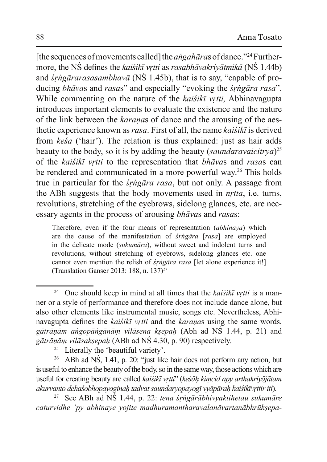[the sequences of movements called] the *angaharas* of dance."<sup>24</sup> Furthermore, the NS defines the *kaisikī vrtti as rasabhāvakriyātmikā* (NS 1.44b) and *śrngārarasasambhavā* (NŚ 1.45b), that is to say, "capable of producing bhāvas and rasas" and especially "evoking the *syngara rasa*". While commenting on the nature of the *kaisikī vrtti*. Abhinavagupta introduces important elements to evaluate the existence and the nature of the link between the karanas of dance and the arousing of the aesthetic experience known as rasa. First of all, the name kaisiku is derived from kesa ('hair'). The relation is thus explained: just as hair adds beauty to the body, so it is by adding the beauty (saundaravaicitya)<sup>25</sup> of the kaisikī vrtti to the representation that bhāvas and rasas can be rendered and communicated in a more powerful way.<sup>26</sup> This holds true in particular for the *srngara rasa*, but not only. A passage from the ABh suggests that the body movements used in *nrtta*, *i.e.* turns, revolutions, stretching of the eyebrows, sidelong glances, etc. are necessary agents in the process of arousing *bhavas* and *rasas*:

Therefore, even if the four means of representation (abhinaya) which are the cause of the manifestation of *srngara* [rasa] are employed in the delicate mode (sukumāra), without sweet and indolent turns and revolutions, without stretching of eyebrows, sidelong glances etc. one cannot even mention the relish of *śrngāra rasa* [let alone experience it!] (Translation Ganser 2013: 188, n. 137)<sup>27</sup>

<sup>&</sup>lt;sup>24</sup> One should keep in mind at all times that the kaisikī vrtti is a manner or a style of performance and therefore does not include dance alone, but also other elements like instrumental music, songs etc. Nevertheless, Abhinavagupta defines the *kaisikī vrtti* and the *karanas* using the same words, gātrāņām angopāngānām vilāsena ksepah (Abh ad NŚ 1.44, p. 21) and gātrānām vilāsaksepah (ABh ad NŚ 4.30, p. 90) respectively.

Literally the 'beautiful variety'.

ABh ad NS, 1.41, p. 20: "just like hair does not perform any action, but  $26\,$ is useful to enhance the beauty of the body, so in the same way, those actions which are useful for creating beauty are called kaiśikī vrtti" (keśāh kimcid apy arthakriyājātam akurvanto dehaśobhopayoginah tadvat saundaryopayogī vyāpārah kaiśikīvrttir iti).

See ABh ad NŚ 1.44, p. 22: tena śrngārābhivyaktihetau sukumāre 27 caturvidhe 'py abhinaye vojite madhuramantharavalanāvartanābhrūksepa-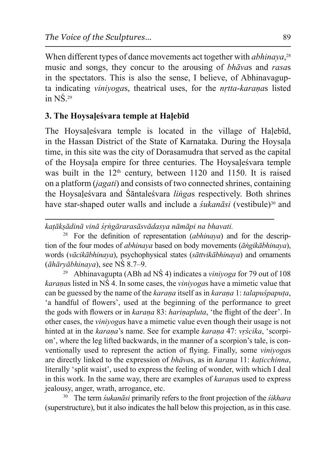When different types of dance movements act together with *abhinaya*,  $28$ music and songs, they concur to the arousing of *bhavas* and *rasas* in the spectators. This is also the sense, I believe, of Abhinavagupta indicating *vinivogas*, theatrical uses, for the *nrtta-karanas* listed in  $N\acute{S}$ .<sup>29</sup>

# 3. The Hoysalesvara temple at Halebīd

The Hoysalesvara temple is located in the village of Halebid, in the Hassan District of the State of Karnataka. During the Hoysala time, in this site was the city of Dorasamudra that served as the capital of the Hoysala empire for three centuries. The Hoysalesvara temple was built in the  $12<sup>th</sup>$  century, between 1120 and 1150. It is raised on a platform *(jagati)* and consists of two connected shrines, containing the Hoysalesvara and Santalesvara *lingas* respectively. Both shrines have star-shaped outer walls and include a *sukanāsi* (vestibule)<sup>30</sup> and

katāksādinā vinā śrngārarasāsvādasya nāmāpi na bhavati.

<sup>28</sup> For the definition of representation *(abhinaya)* and for the description of the four modes of abhinaya based on body movements (āngikābhinaya), words (vācikābhinava), psychophysical states (sāttvikābhinava) and ornaments  $(\bar{a}h\bar{a}rv\bar{a}bhinava)$ , see NŚ 8.7–9.

29 Abhinavagupta (ABh ad NŚ 4) indicates a *vinivoga* for 79 out of 108 *karanas* listed in NS 4. In some cases, the *vinivogas* have a mimetic value that can be guessed by the name of the *karana* itself as in *karana* 1: *talapuspaputa*, 'a handful of flowers', used at the beginning of the performance to greet the gods with flowers or in *karana* 83: *harinapluta*, 'the flight of the deer'. In other cases, the *vinivogas* have a mimetic value even though their usage is not hinted at in the karana's name. See for example karana 47: vrscika, 'scorpion', where the leg lifted backwards, in the manner of a scorpion's tale, is conventionally used to represent the action of flying. Finally, some *vinivogas* are directly linked to the expression of *bhāvas*, as in *karana* 11: *katicchinna*, literally 'split waist', used to express the feeling of wonder, with which I deal in this work. In the same way, there are examples of karanas used to express jealousy, anger, wrath, arrogance, etc.

<sup>30</sup> The term *sukanāsi* primarily refers to the front projection of the *sikhara* (superstructure), but it also indicates the hall below this projection, as in this case.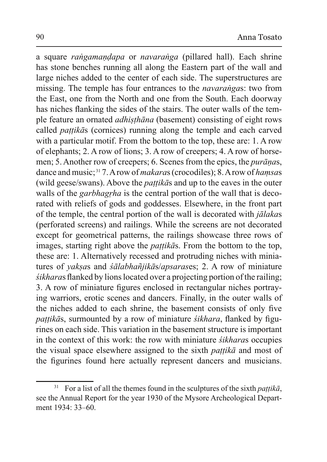a square *rangamandapa* or *navaranga* (pillared hall). Each shrine has stone benches running all along the Eastern part of the wall and large niches added to the center of each side. The superstructures are missing. The temple has four entrances to the *navarangas*: two from the East, one from the North and one from the South. Each doorway has niches flanking the sides of the stairs. The outer walls of the temple feature an ornated *adhisthana* (basement) consisting of eight rows called *pattika*s (cornices) running along the temple and each carved with a particular motif. From the bottom to the top, these are: 1. A row of elephants; 2. A row of lions; 3. A row of creepers; 4. A row of horsemen; 5. Another row of creepers; 6. Scenes from the epics, the *puranas*, dance and music;<sup>31</sup> 7. A row of *makaras* (crocodiles); 8. A row of *hamsas* (wild geese/swans). Above the *pattika* and up to the eaves in the outer walls of the *garbhagrha* is the central portion of the wall that is decorated with reliefs of gods and goddesses. Elsewhere, in the front part of the temple, the central portion of the wall is decorated with *jālakas* (perforated screens) and railings. While the screens are not decorated except for geometrical patterns, the railings showcase three rows of images, starting right above the *pattikas*. From the bottom to the top, these are: 1. Alternatively recessed and protruding niches with miniatures of *yaksas* and *śālabhañjikās/apsarases*; 2. A row of miniature *śikharas* flanked by lions located over a projecting portion of the railing; 3. A row of miniature figures enclosed in rectangular niches portraying warriors, erotic scenes and dancers. Finally, in the outer walls of the niches added to each shrine, the basement consists of only five pattikās, surmounted by a row of miniature *śikhara*, flanked by figurines on each side. This variation in the basement structure is important in the context of this work: the row with miniature *śikharas* occupies the visual space elsewhere assigned to the sixth *pattika* and most of the figurines found here actually represent dancers and musicians.

<sup>&</sup>lt;sup>31</sup> For a list of all the themes found in the sculptures of the sixth *pattika*, see the Annual Report for the year 1930 of the Mysore Archeological Department 1934: 33–60.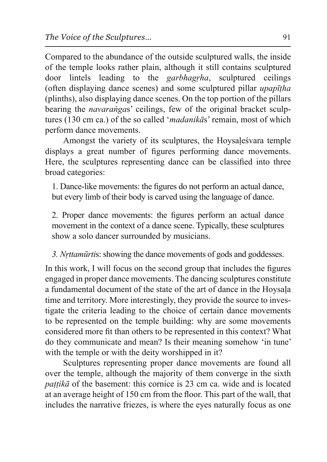Compared to the abundance of the outside sculptured walls, the inside of the temple looks rather plain, although it still contains sculptured lintels leading to the *garbhagrha*, door sculptured ceilings (often displaying dance scenes) and some sculptured pillar *upapitha* (plinths), also displaying dance scenes. On the top portion of the pillars bearing the *navarangas*' ceilings, few of the original bracket sculptures (130 cm ca.) of the so called '*madanikas*' remain, most of which perform dance movements.

Amongst the variety of its sculptures, the Hoysales vara temple displays a great number of figures performing dance movements. Here, the sculptures representing dance can be classified into three broad categories:

1. Dance-like movements: the figures do not perform an actual dance, but every limb of their body is carved using the language of dance.

2. Proper dance movements: the figures perform an actual dance movement in the context of a dance scene. Typically, these sculptures show a solo dancer surrounded by musicians.

3. Nrttamūrtis: showing the dance movements of gods and goddesses.

In this work, I will focus on the second group that includes the figures engaged in proper dance movements. The dancing sculptures constitute a fundamental document of the state of the art of dance in the Hoysala time and territory. More interestingly, they provide the source to investigate the criteria leading to the choice of certain dance movements to be represented on the temple building: why are some movements considered more fit than others to be represented in this context? What do they communicate and mean? Is their meaning somehow 'in tune' with the temple or with the deity worshipped in it?

Sculptures representing proper dance movements are found all over the temple, although the majority of them converge in the sixth *pattika* of the basement: this cornice is 23 cm ca. wide and is located at an average height of 150 cm from the floor. This part of the wall, that includes the narrative friezes, is where the eyes naturally focus as one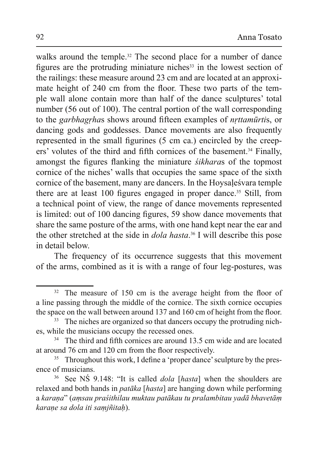walks around the temple.<sup>32</sup> The second place for a number of dance figures are the protruding miniature niches<sup>33</sup> in the lowest section of the railings: these measure around 23 cm and are located at an approximate height of 240 cm from the floor. These two parts of the temple wall alone contain more than half of the dance sculptures' total number (56 out of 100). The central portion of the wall corresponding to the garbhagrhas shows around fifteen examples of *nrttamūrtis*, or dancing gods and goddesses. Dance movements are also frequently represented in the small figurines (5 cm ca.) encircled by the creepers' volutes of the third and fifth cornices of the basement.<sup>34</sup> Finally, amongst the figures flanking the miniature *sikharas* of the topmost cornice of the niches' walls that occupies the same space of the sixth cornice of the basement, many are dancers. In the Hoysales vara temple there are at least 100 figures engaged in proper dance.<sup>35</sup> Still, from a technical point of view, the range of dance movements represented is limited: out of 100 dancing figures, 59 show dance movements that share the same posture of the arms, with one hand kept near the ear and the other stretched at the side in *dola hasta*.<sup>36</sup> I will describe this pose in detail below.

The frequency of its occurrence suggests that this movement of the arms, combined as it is with a range of four leg-postures, was

<sup>&</sup>lt;sup>32</sup> The measure of 150 cm is the average height from the floor of a line passing through the middle of the cornice. The sixth cornice occupies the space on the wall between around 137 and 160 cm of height from the floor.

<sup>&</sup>lt;sup>33</sup> The niches are organized so that dancers occupy the protruding niches, while the musicians occupy the recessed ones.

<sup>&</sup>lt;sup>34</sup> The third and fifth cornices are around 13.5 cm wide and are located at around 76 cm and 120 cm from the floor respectively.

Throughout this work, I define a 'proper dance' sculpture by the pres-35 ence of musicians.

 $36\,$ See NS 9.148: "It is called *dola* [*hasta*] when the shoulders are relaxed and both hands in *patāka* [*hasta*] are hanging down while performing a karana" (amsau praśithilau muktau patākau tu pralambitau yadā bhavetām karane sa dola iti samjñitah).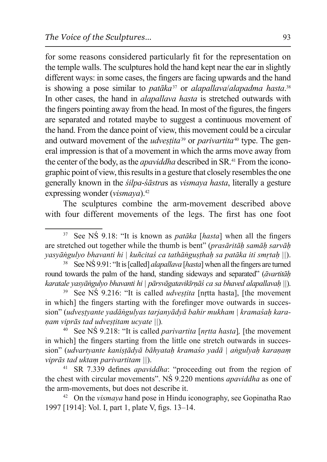for some reasons considered particularly fit for the representation on the temple walls. The sculptures hold the hand kept near the ear in slightly different ways: in some cases, the fingers are facing upwards and the hand is showing a pose similar to *patāka*<sup>37</sup> or *alapallava/alapadma hasta*.<sup>38</sup> In other cases, the hand in *alapallava hasta* is stretched outwards with the fingers pointing away from the head. In most of the figures, the fingers are separated and rotated maybe to suggest a continuous movement of the hand. From the dance point of view, this movement could be a circular and outward movement of the *udvestita*<sup>39</sup> or *parivartita*<sup>40</sup> type. The general impression is that of a movement in which the arms move away from the center of the body, as the *apaviddha* described in SR.<sup>41</sup> From the iconographic point of view, this results in a gesture that closely resembles the one generally known in the *silpa-sastras* as *vismaya hasta*, literally a gesture expressing wonder (*vismaya*).<sup>42</sup>

The sculptures combine the arm-movement described above with four different movements of the legs. The first has one foot

See NŚ 9.91: "It is [called] *alapallava* [*hasta*] when all the fingers are turned round towards the palm of the hand, standing sideways and separated" (*āvartitāh karatale yasyāngulyo bhavanti hi* | *pārsvāgatavikīrnāś ca sa bhaved alapallavah* ||).

<sup>39</sup> See NS 9.216: "It is called *udvestita* [nrtta hasta], [the movement in which] the fingers starting with the forefinger move outwards in succession" (*udvestyante yadāngulyas tarjanyādyā bahir mukham* | kramaśah kara*nam viprās tad udvestitam ucvate* ||).

See NS 9.218: "It is called *parivartita* [*nrtta hasta*], [the movement in which] the fingers starting from the little one stretch outwards in succession" (*udvartyante kaniştādyā bāhyatah kramaso yadā* | *angulyah karanam viprās tad uktam parivartitam* ||).

SR 7.339 defines *apaviddha*: "proceeding out from the region of the chest with circular movements". NS 9.220 mentions *apaviddha* as one of the arm-movements, but does not describe it.

<sup>42</sup> On the *vismaya* hand pose in Hindu iconography, see Gopinatha Rao 1997 [1914]: Vol. I, part 1, plate V, figs. 13–14.

<sup>&</sup>lt;sup>37</sup> See NS 9.18: "It is known as *patāka* [*hasta*] when all the fingers are stretched out together while the thumb is bent" (prasāritāḥ samāḥ sarvāḥ *vasvāngulvo bhavanti hi* | kuñcitas ca tathāngusthah sa patāka iti smrtah ||).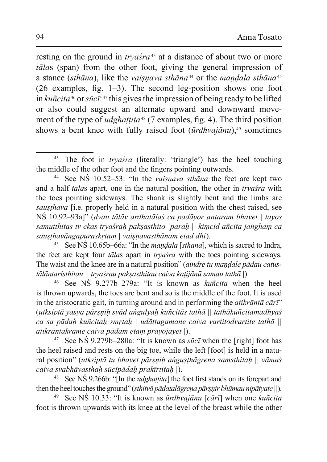resting on the ground in tryaśra<sup>43</sup> at a distance of about two or more tālas (span) from the other foot, giving the general impression of a stance (sthāna), like the vaisnava sthāna<sup>44</sup> or the mandala sthāna<sup>45</sup>  $(26$  examples, fig. 1–3). The second leg-position shows one foot in kuncita<sup>46</sup> or sūc $\bar{t}$ <sup>47</sup> this gives the impression of being ready to be lifted or also could suggest an alternate upward and downward movement of the type of *udghattita*<sup>48</sup> (7 examples, fig. 4). The third position shows a bent knee with fully raised foot  $(\bar{u}rdhvai\bar{a}nu)$ <sup>49</sup> sometimes

<sup>&</sup>lt;sup>43</sup> The foot in *tryasra* (literally: 'triangle') has the heel touching the middle of the other foot and the fingers pointing outwards.

See NS 10.52–53: "In the *vaisnava sthana* the feet are kept two and a half *talas* apart, one in the natural position, the other in *tryasra* with the toes pointing sideways. The shank is slightly bent and the limbs are *sausthava* [i.e. properly held in a natural position with the chest raised, see NŚ 10.92–93a]" (dvau tālāv ardhatālas ca padāyor antaram bhavet | tayos samutthitas tv ekas tryaśrah paksasthito 'parah || kimcid añcita jangham ca sausthavāngapuraskrtam | vaisnavasthānam etad dhi).

See NS 10.65b–66a: "In the *mandala* [sthāna], which is sacred to Indra, the feet are kept four *talas* apart in *tryasra* with the toes pointing sideways. The waist and the knee are in a natural position" (aindre tu mandale pādau catus $t\bar{a}l\bar{a}$ ntaristhitau || tryaśrau paksasthitau caiva kațijānū samau tathā |).

See NS 9.277b–279a: "It is known as *kuñcita* when the heel is thrown upwards, the toes are bent and so is the middle of the foot. It is used in the aristocratic gait, in turning around and in performing the *atikranta cart*" (utksiptā yasya pārsņih syād angulyah kuñcitās tathā || tathākuñcitamadhyaś ca sa pādah kuñcitah smrtah | udāttagamane caiva vartitodvartite tathā || atikrāntakrame caiva pādam etam prayojayet |).

<sup>&</sup>lt;sup>47</sup> See NS 9.279b–280a: "It is known as *sūcī* when the [right] foot has the heel raised and rests on the big toe, while the left [foot] is held in a natural position" (utksiptā tu bhavet pārsņih angusthāgrena samsthitah || vāmaś caiva svabhāvasthah sūcīpādah prakīrtitah |).

<sup>&</sup>lt;sup>48</sup> See NS 9.266b: "[In the *udghattita*] the foot first stands on its forepart and then the heel touches the ground" (sthitva padatalagrena parsnir bhūmau nipātyate  $||$ ).

See NS 10.33: "It is known as *ūrdhvajānu* [cārī] when one *kuñcita* 49 foot is thrown upwards with its knee at the level of the breast while the other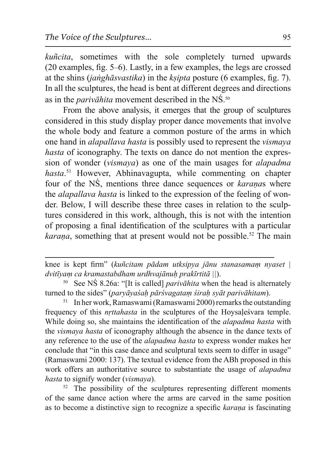*kuñcita*, sometimes with the sole completely turned upwards  $(20$  examples, fig. 5–6). Lastly, in a few examples, the legs are crossed at the shins *(janghāsvastika)* in the *ksipta* posture (6 examples, fig. 7). In all the sculptures, the head is bent at different degrees and directions as in the *parivalita* movement described in the NS.<sup>50</sup>

From the above analysis, it emerges that the group of sculptures considered in this study display proper dance movements that involve the whole body and feature a common posture of the arms in which one hand in *alapallava hasta* is possibly used to represent the *vismaya hasta* of iconography. The texts on dance do not mention the expression of wonder (*vismaya*) as one of the main usages for *alapadma* hasta.<sup>51</sup> However, Abhinavagupta, while commenting on chapter four of the NS, mentions three dance sequences or *karanas* where the *alapallava hasta* is linked to the expression of the feeling of wonder. Below, I will describe these three cases in relation to the sculptures considered in this work, although, this is not with the intention of proposing a final identification of the sculptures with a particular *karana*, something that at present would not be possible.<sup>52</sup> The main

knee is kept firm" (kuñcitam pādam utksipya jānu stanasamam nyaset | *dvitīvam ca kramastabdham urdhvajānuh prakīrtitā* ||).

See NS 8.26a: "[It is called] *parivalantia* when the head is alternately turned to the sides" (*parvāyasah pārsvagatam sirah syāt parivāhitam*).

<sup>51</sup> In her work, Ramaswami (Ramaswami 2000) remarks the outstanding frequency of this *nrttahasta* in the sculptures of the Hoysalesvara temple. While doing so, she maintains the identification of the *alapadma hasta* with the *vismaya hasta* of iconography although the absence in the dance texts of any reference to the use of the *alapadma hasta* to express wonder makes her conclude that "in this case dance and sculptural texts seem to differ in usage" (Ramaswami 2000: 137). The textual evidence from the ABh proposed in this work offers an authoritative source to substantiate the usage of *alapadma hasta* to signify wonder (*vismaya*).

 $52$  The possibility of the sculptures representing different moments of the same dance action where the arms are carved in the same position as to become a distinctive sign to recognize a specific *karana* is fascinating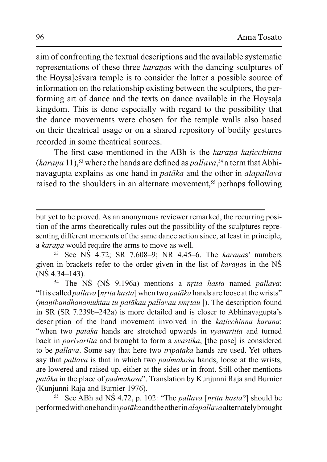aim of confronting the textual descriptions and the available systematic representations of these three *karanas* with the dancing sculptures of the Hoysalesvara temple is to consider the latter a possible source of information on the relationship existing between the sculptors, the performing art of dance and the texts on dance available in the Hoysala kingdom. This is done especially with regard to the possibility that the dance movements were chosen for the temple walls also based on their theatrical usage or on a shared repository of bodily gestures recorded in some theatrical sources.

The first case mentioned in the ABh is the karana katicchinna (karaņa 11),<sup>53</sup> where the hands are defined as *pallava*,<sup>54</sup> a term that Abhinavagupta explains as one hand in *patāka* and the other in *alapallava* raised to the shoulders in an alternate movement,<sup>55</sup> perhaps following

but yet to be proved. As an anonymous reviewer remarked, the recurring position of the arms theoretically rules out the possibility of the sculptures representing different moments of the same dance action since, at least in principle, a karana would require the arms to move as well.

<sup>53</sup> See NS 4.72; SR 7.608-9; NR 4.45-6. The *karanas*' numbers given in brackets refer to the order given in the list of karanas in the NS  $(N\dot{S} 4.34 - 143)$ .

<sup>54</sup> The NS (NS 9.196a) mentions a *nrtta hasta* named *pallava*: "It is called *pallava* [*nrtta hasta*] when two *patāka* hands are loose at the wrists" (manibandhanamuktau tu patākau pallavau smrtau). The description found in SR (SR 7.239b–242a) is more detailed and is closer to Abhinavagupta's description of the hand movement involved in the katicchinna karana: "when two *patāka* hands are stretched upwards in *vyāvartita* and turned back in *parivartita* and brought to form a *svastika*, [the pose] is considered to be *pallava*. Some say that here two *tripatāka* hands are used. Yet others say that *pallava* is that in which two *padmakosa* hands, loose at the wrists, are lowered and raised up, either at the sides or in front. Still other mentions patāka in the place of padmakośa". Translation by Kunjunni Raja and Burnier (Kunjunni Raja and Burnier 1976).

See ABh ad NS 4.72, p. 102: "The *pallava* [nrtta hasta?] should be performed with one hand in pataka and the other in alapallava alternately brought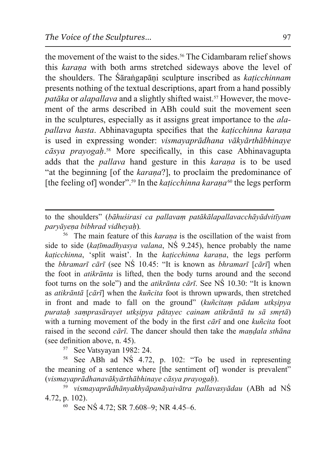the movement of the waist to the sides.<sup>56</sup> The Cidambaram relief shows this *karana* with both arms stretched sideways above the level of the shoulders. The Sarangapani sculpture inscribed as *katicchinnam* presents nothing of the textual descriptions, apart from a hand possibly *patāka* or *alapallava* and a slightly shifted waist.<sup>57</sup> However, the movement of the arms described in ABh could suit the movement seen in the sculptures, especially as it assigns great importance to the *alapallava hasta.* Abhinavagupta specifies that the *katicchinna karana* is used in expressing wonder: *vismavaprādhana vākvārthābhinave* cāsya prayogah<sup>58</sup> More specifically, in this case Abhinavagupta adds that the *pallava* hand gesture in this *karana* is to be used "at the beginning [of the *karana*?], to proclaim the predominance of [the feeling of] wonder"<sup>.59</sup> In the *katicchinna karana*<sup>60</sup> the legs perform

to the shoulders" (bāhuśirasi ca pallavam patākālapallavacchāyādvitīyam  $parv\bar{a}$ <sub>yena</sub> bibhrad vidhevah).

<sup>56</sup> The main feature of this *karana* is the oscillation of the waist from side to side (*katīmadhyasya valana*, NS 9.245), hence probably the name *katicchinna*, 'split waist'. In the *katicchinna karana*, the legs perform the *bhramarī cārī* (see NŚ 10.45: "It is known as *bhramarī [cārī*] when the foot in *atikrānta* is lifted, then the body turns around and the second foot turns on the sole") and the *atikranta cart*. See NS 10.30: "It is known as *atikrāntā* [*cārī*] when the *kuñcita* foot is thrown upwards, then stretched in front and made to fall on the ground" (*kun*citam padam utksipya puratah samprasārayet utkṣipya pātayec cainam atikrāntā tu sā smṛtā) with a turning movement of the body in the first *cart* and one *kuñcita* foot raised in the second *cārī*. The dancer should then take the *mandala sthāna* (see definition above, n.  $45$ ).

<sup>57</sup> See Vatsyayan 1982: 24.

<sup>58</sup> See ABh ad NS 4.72, p. 102: "To be used in representing the meaning of a sentence where [the sentiment of] wonder is prevalent" (vismayaprādhanavākyārthābhinaye cāsya prayogah).

<sup>59</sup> *vismayaprādhānyakhyāpanāyaivātra pallavasyādau* (ABh ad NŚ 4.72, p. 102).

60 See NŚ 4.72; SR 7.608-9; NR 4.45-6.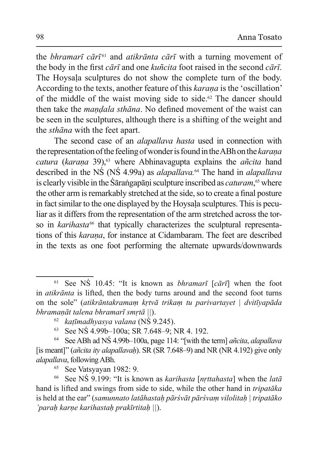the *bhramarī cārī*<sup>61</sup> and *atikrānta cārī* with a turning movement of the body in the first *cārī* and one *kuñcita* foot raised in the second *cārī*. The Hoysala sculptures do not show the complete turn of the body. According to the texts, another feature of this *karana* is the 'oscillation' of the middle of the waist moving side to side.<sup>62</sup> The dancer should then take the *mandala sthana*. No defined movement of the waist can be seen in the sculptures, although there is a shifting of the weight and the *sthana* with the feet apart.

The second case of an *alapallava hasta* used in connection with the representation of the feeling of wonder is found in the ABh on the karana catura (karaņa 39),<sup>63</sup> where Abhinavagupta explains the añcita hand described in the NS (NS 4.99a) as *alapallava*.<sup>64</sup> The hand in *alapallava* is clearly visible in the Sārangapāṇi sculpture inscribed as *caturam*,<sup>65</sup> where the other arm is remarkably stretched at the side, so to create a final posture in fact similar to the one displayed by the Hoysala sculptures. This is peculiar as it differs from the representation of the arm stretched across the torso in karihasta<sup>66</sup> that typically characterizes the sculptural representations of this karana, for instance at Cidambaram. The feet are described in the texts as one foot performing the alternate upwards/downwards

65 See Vatsyayan 1982: 9.

<sup>66</sup> See NS 9.199: "It is known as *karihasta* [*nrttahasta*] when the *lata* hand is lifted and swings from side to side, while the other hand in *tripataka* is held at the ear" (samunnato latāhastah pārśvāt pārśvam vilolitah | tripatāko 'parah karne karihastah prakīrtitah ||).

<sup>&</sup>lt;sup>61</sup> See NS 10.45: "It is known as *bhramarī* [c $\bar{a}$ rī] when the foot in *atikrānta* is lifted, then the body turns around and the second foot turns on the sole" (atikrāntakramam krtvā trikam tu parivartavet | dvitīvapāda bhramanāt talena bhramarī smrtā ||).

<sup>&</sup>lt;sup>62</sup> katīmadhvasva valana ( $\overline{\text{NS}}$  9.245).

<sup>63</sup> See NS 4.99b-100a; SR 7.648-9; NR 4. 192.

<sup>&</sup>lt;sup>64</sup> See ABh ad NS 4.99b–100a, page 114: "[with the term] *ancita*, *alapallava* [is meant]" (añcita ity alapallavah). SR (SR 7.648–9) and NR (NR 4.192) give only alapallava, following ABh.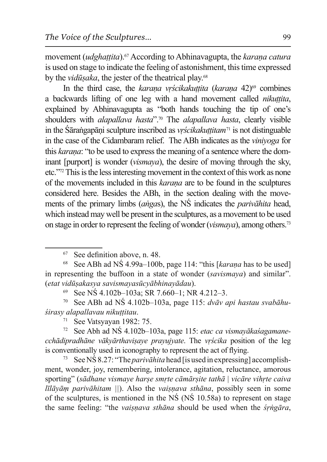movement *(udghattita)*.<sup>67</sup> According to Abhinayagupta, the *karana catura* is used on stage to indicate the feeling of astonishment, this time expressed by the *vidūșaka*, the jester of the theatrical play.<sup>68</sup>

In the third case, the karana vrścikakuttita (karana 42)<sup>69</sup> combines a backwards lifting of one leg with a hand movement called *nikuttita*, explained by Abhinavagupta as "both hands touching the tip of one's shoulders with *alapallava hasta*".<sup>70</sup> The *alapallava hasta*, clearly visible in the Sārangapāni sculpture inscribed as *vrścikakuttitam*<sup>71</sup> is not distinguable in the case of the Cidambaram relief. The ABh indicates as the *vinivoga* for this *karana*: "to be used to express the meaning of a sentence where the dominant [purport] is wonder (*vismaya*), the desire of moving through the sky, etc."<sup>72</sup> This is the less interesting movement in the context of this work as none of the movements included in this *karana* are to be found in the sculptures considered here. Besides the ABh, in the section dealing with the movements of the primary limbs (angas), the NS indicates the *parivalatita* head, which instead may well be present in the sculptures, as a movement to be used on stage in order to represent the feeling of wonder (*vismaya*), among others.<sup>73</sup>

See NS 4.102b-103a; SR 7.660-1; NR 4.212-3.

<sup>70</sup> See ABh ad NS 4.102b-103a, page 115: dvāv api hastau svabāhuśirasy alapallavau nikuttitau.

 $71$  See Vatsyayan 1982: 75.

See Abh ad NS 4.102b-103a, page 115: etac ca vismayākas agamanecchādipradhāne vākvārthavisaye prayujvate. The vrścika position of the leg is conventionally used in iconography to represent the act of flying.

73 See NS 8.27: "The *parivahita* head [is used in expressing] accomplishment, wonder, joy, remembering, intolerance, agitation, reluctance, amorous sporting" (sādhane vismaye harse smrte cāmārsite tathā | vicāre vihrte caiva  $l\bar{l}l\bar{a}y\bar{a}m$  parivahitam  $||$ ). Also the vaisnava sthana, possibly seen in some of the sculptures, is mentioned in the  $N\acute{S}$  ( $N\acute{S}$  10.58a) to represent on stage the same feeling: "the vaisnava sthana should be used when the *syngara*,

<sup>67</sup> See definition above, n. 48.

<sup>&</sup>lt;sup>68</sup> See ABh ad NS 4.99a–100b, page 114: "this [karana has to be used] in representing the buffoon in a state of wonder (savismaya) and similar". (etat vidūsakasya savismayasūcyābhinayādau).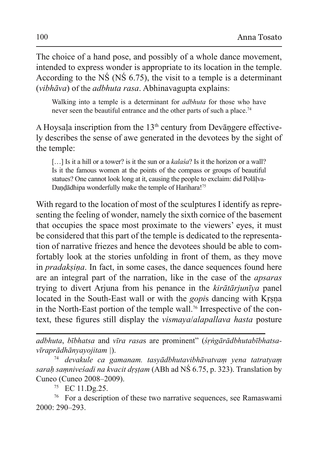The choice of a hand pose, and possibly of a whole dance movement, intended to express wonder is appropriate to its location in the temple. According to the NS (NS  $6.75$ ), the visit to a temple is a determinant *(vibhāva)* of the *adbhuta rasa*. Abhinavagupta explains:

Walking into a temple is a determinant for *adbhuta* for those who have never seen the beautiful entrance and the other parts of such a place.<sup>74</sup>

A Hoysala inscription from the  $13<sup>th</sup>$  century from Devangere effectively describes the sense of awe generated in the devotees by the sight of the temple:

[...] Is it a hill or a tower? is it the sun or a *kalasa*? Is it the horizon or a wall? Is it the famous women at the points of the compass or groups of beautiful statues? One cannot look long at it, causing the people to exclaim: did Polalya-Dandādhipa wonderfully make the temple of Harihara!<sup>75</sup>

With regard to the location of most of the sculptures I identify as representing the feeling of wonder, namely the sixth cornice of the basement that occupies the space most proximate to the viewers' eyes, it must be considered that this part of the temple is dedicated to the representation of narrative friezes and hence the devotees should be able to comfortably look at the stories unfolding in front of them, as they move in *pradaksina*. In fact, in some cases, the dance sequences found here are an integral part of the narration, like in the case of the *apsaras* trying to divert Arjuna from his penance in the kirātārjunīya panel located in the South-East wall or with the *gopis* dancing with Krsna in the North-East portion of the temple wall.<sup>76</sup> Irrespective of the context, these figures still display the *vismaya/alapallava hasta* posture

adbhuta, bībhatsa and vīra rasas are prominent" (śrngārādbhutabībhatsa $v\bar{v}$ raprādhānyayojitam  $|$ ).

devakule ca gamanam. tasyādbhutavibhāvatvam yena tatratyam 74 sarah samnivesadi na kvacit drstam (ABh ad NS 6.75, p. 323). Translation by Cuneo (Cuneo 2008–2009).

<sup>75</sup> EC 11.Dg.25.

<sup>76</sup> For a description of these two narrative sequences, see Ramaswami 2000: 290-293.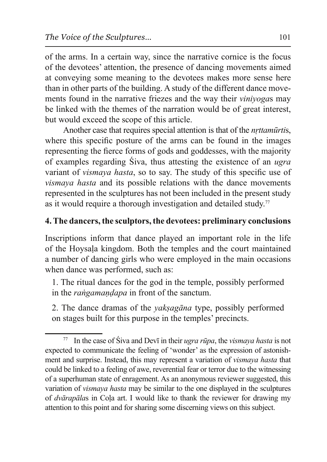of the arms. In a certain way, since the narrative cornice is the focus of the devotees' attention, the presence of dancing movements aimed at conveying some meaning to the devotees makes more sense here than in other parts of the building. A study of the different dance movements found in the narrative friezes and the way their *vinivogas* may be linked with the themes of the narration would be of great interest, but would exceed the scope of this article.

Another case that requires special attention is that of the *nrttamūrtis*, where this specific posture of the arms can be found in the images representing the fierce forms of gods and goddesses, with the majority of examples regarding Siva, thus attesting the existence of an ugra variant of *vismaya hasta*, so to say. The study of this specific use of *vismava hasta* and its possible relations with the dance movements represented in the sculptures has not been included in the present study as it would require a thorough investigation and detailed study.<sup>77</sup>

# 4. The dancers, the sculptors, the devotees: preliminary conclusions

Inscriptions inform that dance played an important role in the life of the Hoysala kingdom. Both the temples and the court maintained a number of dancing girls who were employed in the main occasions when dance was performed, such as:

1. The ritual dances for the god in the temple, possibly performed in the *rangamandapa* in front of the sanctum.

2. The dance dramas of the *yaksagana* type, possibly performed on stages built for this purpose in the temples' precincts.

In the case of Siva and Devi in their *ugra rūpa*, the *vismaya hasta* is not expected to communicate the feeling of 'wonder' as the expression of astonishment and surprise. Instead, this may represent a variation of *vismaya hasta* that could be linked to a feeling of awe, reverential fear or terror due to the witnessing of a superhuman state of enragement. As an anonymous reviewer suggested, this variation of *vismaya hasta* may be similar to the one displayed in the sculptures of *dvārapālas* in Cola art. I would like to thank the reviewer for drawing my attention to this point and for sharing some discerning views on this subject.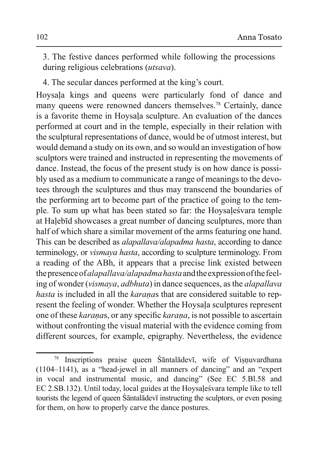3. The festive dances performed while following the processions during religious celebrations (utsava).

4. The secular dances performed at the king's court.

Hoysala kings and queens were particularly fond of dance and many queens were renowned dancers themselves.<sup>78</sup> Certainly, dance is a favorite theme in Hoysala sculpture. An evaluation of the dances performed at court and in the temple, especially in their relation with the sculptural representations of dance, would be of utmost interest, but would demand a study on its own, and so would an investigation of how sculptors were trained and instructed in representing the movements of dance. Instead, the focus of the present study is on how dance is possibly used as a medium to communicate a range of meanings to the devotees through the sculptures and thus may transcend the boundaries of the performing art to become part of the practice of going to the temple. To sum up what has been stated so far: the Hoysale's vara temple at Halebid showcases a great number of dancing sculptures, more than half of which share a similar movement of the arms featuring one hand. This can be described as *alapallava/alapadma hasta*, according to dance terminology, or vismaya hasta, according to sculpture terminology. From a reading of the ABh, it appears that a precise link existed between the presence of alapallaya/alapadma hasta and the expression of the feeling of wonder (vismaya, adbhuta) in dance sequences, as the alapallava hasta is included in all the karanas that are considered suitable to represent the feeling of wonder. Whether the Hoysala sculptures represent one of these karanas, or any specific karana, is not possible to ascertain without confronting the visual material with the evidence coming from different sources, for example, epigraphy. Nevertheless, the evidence

Inscriptions praise queen Santaladevi, wife of Visnuvardhana 78  $(1104-1141)$ , as a "head-jewel in all manners of dancing" and an "expert" in vocal and instrumental music, and dancing" (See EC 5.Bl.58 and EC 2.SB.132). Until today, local guides at the Hoysales vara temple like to tell tourists the legend of queen Santala devi instructing the sculptors, or even posing for them, on how to properly carve the dance postures.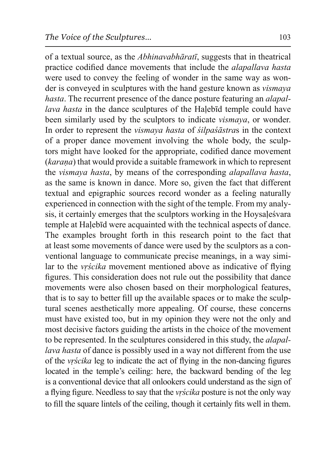of a textual source, as the *Abhinavabhāratī*, suggests that in theatrical practice codified dance movements that include the *alapallava hasta* were used to convey the feeling of wonder in the same way as wonder is conveyed in sculptures with the hand gesture known as *vismaya hasta*. The recurrent presence of the dance posture featuring an *alapallava hasta* in the dance sculptures of the Halebid temple could have been similarly used by the sculptors to indicate *vismaya*, or wonder. In order to represent the *vismaya hasta* of *silpasastras* in the context of a proper dance movement involving the whole body, the sculptors might have looked for the appropriate, codified dance movement (*karana*) that would provide a suitable framework in which to represent the *vismaya hasta*, by means of the corresponding *alapallava hasta*, as the same is known in dance. More so, given the fact that different textual and epigraphic sources record wonder as a feeling naturally experienced in connection with the sight of the temple. From my analysis, it certainly emerges that the sculptors working in the Hoysalesvara temple at Halebid were acquainted with the technical aspects of dance. The examples brought forth in this research point to the fact that at least some movements of dance were used by the sculptors as a conventional language to communicate precise meanings, in a way similar to the *vrscika* movement mentioned above as indicative of flying figures. This consideration does not rule out the possibility that dance movements were also chosen based on their morphological features, that is to say to better fill up the available spaces or to make the sculptural scenes aesthetically more appealing. Of course, these concerns must have existed too, but in my opinion they were not the only and most decisive factors guiding the artists in the choice of the movement to be represented. In the sculptures considered in this study, the *alapallava hasta* of dance is possibly used in a way not different from the use of the *vrścika* leg to indicate the act of flying in the non-dancing figures located in the temple's ceiling: here, the backward bending of the leg is a conventional device that all onlookers could understand as the sign of a flying figure. Needless to say that the *vrscika* posture is not the only way to fill the square lintels of the ceiling, though it certainly fits well in them.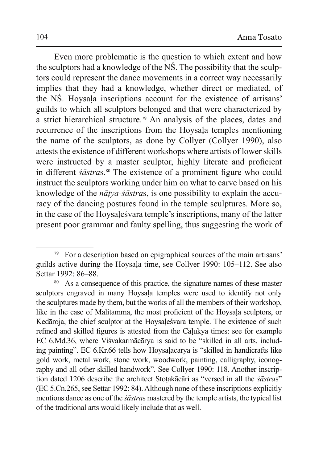Even more problematic is the question to which extent and how the sculptors had a knowledge of the NS. The possibility that the sculptors could represent the dance movements in a correct way necessarily implies that they had a knowledge, whether direct or mediated, of the NS. Hoysala inscriptions account for the existence of artisans' guilds to which all sculptors belonged and that were characterized by a strict hierarchical structure.<sup>79</sup> An analysis of the places, dates and recurrence of the inscriptions from the Hoysala temples mentioning the name of the sculptors, as done by Collyer (Collyer 1990), also attests the existence of different workshops where artists of lower skills were instructed by a master sculptor, highly literate and proficient in different *sastras*.<sup>80</sup> The existence of a prominent figure who could instruct the sculptors working under him on what to carve based on his knowledge of the  $n\bar{a}tva - s\bar{a}stras$ , is one possibility to explain the accuracy of the dancing postures found in the temple sculptures. More so, in the case of the Hoysales vara temple's inscriptions, many of the latter present poor grammar and faulty spelling, thus suggesting the work of

<sup>79</sup> For a description based on epigraphical sources of the main artisans' guilds active during the Hoysala time, see Collyer 1990: 105–112. See also Settar 1992: 86-88.

 $80\,$ As a consequence of this practice, the signature names of these master sculptors engraved in many Hoysala temples were used to identify not only the sculptures made by them, but the works of all the members of their workshop, like in the case of Malitamma, the most proficient of the Hoysala sculptors, or Kedāroja, the chief sculptor at the Hovsales vara temple. The existence of such refined and skilled figures is attested from the Cāļukya times: see for example EC 6.Md.36, where Viśvakarmācārya is said to be "skilled in all arts, including painting". EC 6.Kr.66 tells how Hoysalacarya is "skilled in handicrafts like gold work, metal work, stone work, woodwork, painting, calligraphy, iconography and all other skilled handwork". See Collyer 1990: 118. Another inscription dated 1206 describe the architect Stotakācāri as "versed in all the sāstras" (EC 5.Cn.265, see Settar 1992: 84). Although none of these inscriptions explicitly mentions dance as one of the *scastras* mastered by the temple artists, the typical list of the traditional arts would likely include that as well.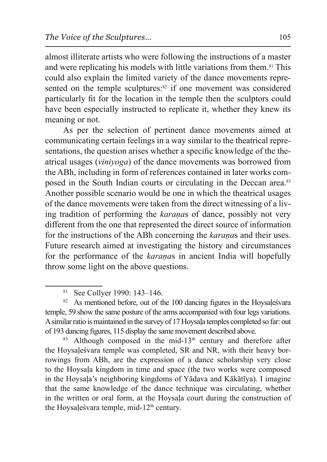almost illiterate artists who were following the instructions of a master and were replicating his models with little variations from them.81 This could also explain the limited variety of the dance movements represented on the temple sculptures:<sup>82</sup> if one movement was considered particularly fit for the location in the temple then the sculptors could have been especially instructed to replicate it, whether they knew its meaning or not.

As per the selection of pertinent dance movements aimed at communicating certain feelings in a way similar to the theatrical representations, the question arises whether a specific knowledge of the theatrical usages (*viniyoga*) of the dance movements was borrowed from the ABh, including in form of references contained in later works composed in the South Indian courts or circulating in the Deccan area.<sup>83</sup> Another possible scenario would be one in which the theatrical usages of the dance movements were taken from the direct witnessing of a living tradition of performing the *karanas* of dance, possibly not very different from the one that represented the direct source of information for the instructions of the ABh concerning the *karanas* and their uses. Future research aimed at investigating the history and circumstances for the performance of the *karanas* in ancient India will hopefully throw some light on the above questions.

<sup>81</sup> See Collyer 1990: 143–146.

<sup>82</sup> As mentioned before, out of the 100 dancing figures in the Hoysalesvara temple, 59 show the same posture of the arms accompanied with four legs variations. A similar ratio is maintained in the survey of 17 Hoysala temples completed so far: out of 193 dancing figures, 115 display the same movement described above.

 $83$  Although composed in the mid-13<sup>th</sup> century and therefore after the Hoysalesvara temple was completed, SR and NR, with their heavy borrowings from ABh, are the expression of a dance scholarship very close to the Hoysala kingdom in time and space (the two works were composed in the Hoysala's neighboring kingdoms of Yādava and Kākātīya). I imagine that the same knowledge of the dance technique was circulating, whether in the written or oral form, at the Hoysala court during the construction of the Hoysalesvara temple, mid- $12<sup>th</sup>$  century.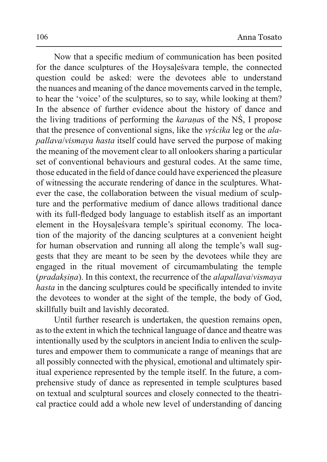Now that a specific medium of communication has been posited for the dance sculptures of the Hoysale's vara temple, the connected question could be asked: were the devotees able to understand the nuances and meaning of the dance movements carved in the temple, to hear the 'voice' of the sculptures, so to say, while looking at them? In the absence of further evidence about the history of dance and the living traditions of performing the karanas of the NS, I propose that the presence of conventional signs, like the *vrscika* leg or the *alapallava/vismava hasta* itself could have served the purpose of making the meaning of the movement clear to all onlookers sharing a particular set of conventional behaviours and gestural codes. At the same time, those educated in the field of dance could have experienced the pleasure of witnessing the accurate rendering of dance in the sculptures. Whatever the case, the collaboration between the visual medium of sculpture and the performative medium of dance allows traditional dance with its full-fledged body language to establish itself as an important element in the Hoysalesvara temple's spiritual economy. The location of the majority of the dancing sculptures at a convenient height for human observation and running all along the temple's wall suggests that they are meant to be seen by the devotees while they are engaged in the ritual movement of circumambulating the temple *(pradaksina)*. In this context, the recurrence of the *alapallava/vismaya* hasta in the dancing sculptures could be specifically intended to invite the devotees to wonder at the sight of the temple, the body of God, skillfully built and lavishly decorated.

Until further research is undertaken, the question remains open, as to the extent in which the technical language of dance and theatre was intentionally used by the sculptors in ancient India to enliven the sculptures and empower them to communicate a range of meanings that are all possibly connected with the physical, emotional and ultimately spiritual experience represented by the temple itself. In the future, a comprehensive study of dance as represented in temple sculptures based on textual and sculptural sources and closely connected to the theatrical practice could add a whole new level of understanding of dancing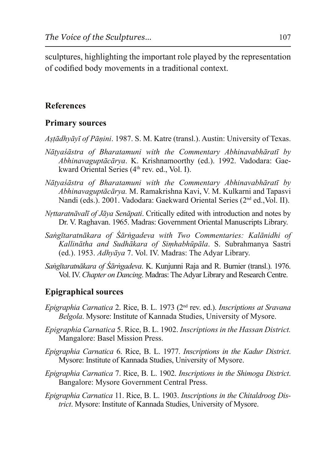sculptures, highlighting the important role played by the representation of codified body movements in a traditional context.

#### **References**

#### **Primary sources**

*Astādhvāvī of Pānini.* 1987. S. M. Katre (transl.). Austin: University of Texas.

- *Nātyaśāstra of Bharatamuni with the Commentary Abhinavabhāratī by* Abhinavaguptācārya. K. Krishnamoorthy (ed.). 1992. Vadodara: Gaekward Oriental Series (4<sup>th</sup> rev. ed., Vol. I).
- *Nātyasāstra of Bharatamuni with the Commentary Abhinavabhāratī by Abhinavaguptācārya.* M. Ramakrishna Kavi, V. M. Kulkarni and Tapasvi Nandi (eds.). 2001. Vadodara: Gaekward Oriental Series (2<sup>nd</sup> ed., Vol. II).
- *Nrttaratnāvalī of Jāya Senāpati.* Critically edited with introduction and notes by Dr. V. Raghavan. 1965. Madras: Government Oriental Manuscripts Library.
- *Sangītaratnākara of Śārngadeva with Two Commentaries: Kalānidhi of* Kallinātha and Sudhākara of Simhabhūpāla. S. Subrahmanya Sastri (ed.). 1953. *Adhyāya 7.* Vol. IV. Madras: The Adyar Library.
- *Sangītaratnākara of Śārngadeva.* K. Kunjunni Raja and R. Burnier (transl.). 1976. Vol. IV. *Chapter on Dancing*. Madras: The Adyar Library and Research Centre.

### **Epigraphical sources**

- *Epigraphia Carnatica* 2. Rice, B. L. 1973 (2<sup>nd</sup> rev. ed.). *Inscriptions at Sravana Belgola*. Mysore: Institute of Kannada Studies, University of Mysore.
- *Epigraphia Carnatica* 5. Rice, B. L. 1902. *Inscriptions in the Hassan District.* Mangalore: Basel Mission Press.
- *Epigraphia Carnatica* 6. Rice, B. L. 1977. *Inscriptions in the Kadur District.* Mysore: Institute of Kannada Studies, University of Mysore.
- *(Epigraphia Carnatica 7. Rice, B. L. 1902. Inscriptions in the Shimoga District.* Bangalore: Mysore Government Central Press.
- *Epigraphia Carnatica* 11. Rice, B. L. 1903. *Inscriptions in the Chitaldroog District*. Mysore: Institute of Kannada Studies, University of Mysore.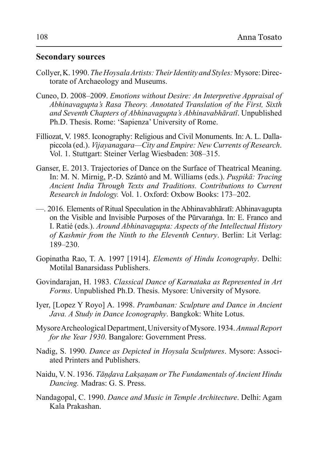#### **Secondary sources**

- Collyer, K. 1990. The Hoysala Artists: Their Identity and Styles: Mysore: Directorate of Archaeology and Museums.
- Cuneo, D. 2008–2009. Emotions without Desire: An Interpretive Appraisal of Abhinavagupta's Rasa Theory. Annotated Translation of the First, Sixth and Seventh Chapters of Abhinavagupta's Abhinavabhāratī. Unpublished Ph.D. Thesis. Rome: 'Sapienza' University of Rome.
- Filliozat, V. 1985. Iconography: Religious and Civil Monuments. In: A. L. Dallapiccola (ed.). Vijayanagara—City and Empire: New Currents of Research. Vol. 1. Stuttgart: Steiner Verlag Wiesbaden: 308–315.
- Ganser, E. 2013. Trajectories of Dance on the Surface of Theatrical Meaning. In: M. N. Mirnig, P.-D. Szántó and M. Williams (eds.). Puspikā: Tracing Ancient India Through Texts and Traditions. Contributions to Current Research in Indology. Vol. 1. Oxford: Oxbow Books: 173–202.
- 2016. Elements of Ritual Speculation in the Abhinavabharati: Abhinavagupta on the Visible and Invisible Purposes of the Pūrvaranga. In: E. Franco and I. Ratié (eds.). Around Abhinavagupta: Aspects of the Intellectual History of Kashmir from the Ninth to the Eleventh Century. Berlin: Lit Verlag:  $189 - 230$ .
- Gopinatha Rao, T. A. 1997 [1914]. Elements of Hindu Iconography. Delhi: Motilal Banarsidass Publishers
- Govindarajan, H. 1983. Classical Dance of Karnataka as Represented in Art *Forms*. Unpublished Ph.D. Thesis. Mysore: University of Mysore.
- Iyer, [Lopez Y Royo] A. 1998. Prambanan: Sculpture and Dance in Ancient Java. A Study in Dance Iconography. Bangkok: White Lotus.
- Mysore Archeological Department, University of Mysore. 1934. Annual Report for the Year 1930. Bangalore: Government Press.
- Nadig, S. 1990. Dance as Depicted in Hoysala Sculptures. Mysore: Associated Printers and Publishers.
- Naidu, V. N. 1936. Tāndava Laksanam or The Fundamentals of Ancient Hindu Dancing. Madras: G. S. Press.
- Nandagopal, C. 1990. Dance and Music in Temple Architecture. Delhi: Agam Kala Prakashan